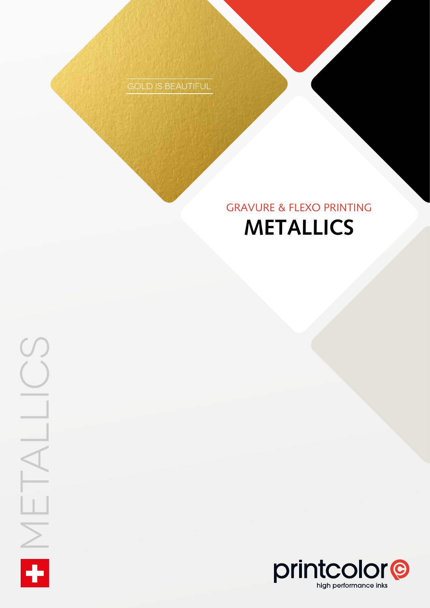Gold is beautiful

## **Metallics** Gravure & Flexo Printing

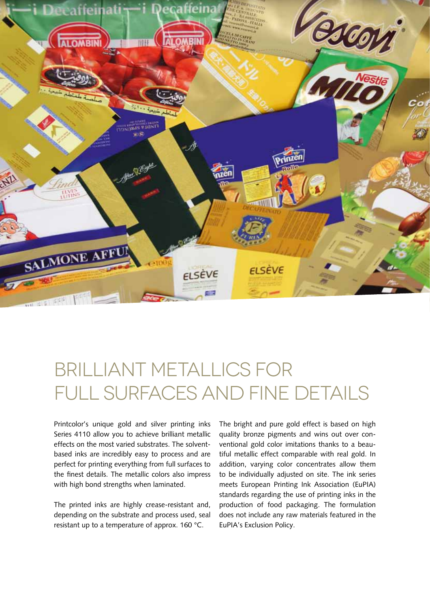

# Brilliant metallics for FULL SURFACES AND FINE DETAILS

Printcolor's unique gold and silver printing inks Series 4110 allow you to achieve brilliant metallic effects on the most varied substrates. The solventbased inks are incredibly easy to process and are perfect for printing everything from full surfaces to the finest details. The metallic colors also impress with high bond strengths when laminated.

The printed inks are highly crease-resistant and, depending on the substrate and process used, seal resistant up to a temperature of approx. 160 °C.

The bright and pure gold effect is based on high quality bronze pigments and wins out over conventional gold color imitations thanks to a beautiful metallic effect comparable with real gold. In addition, varying color concentrates allow them to be individually adjusted on site. The ink series meets European Printing Ink Association (EuPIA) standards regarding the use of printing inks in the production of food packaging. The formulation does not include any raw materials featured in the EuPIA's Exclusion Policy.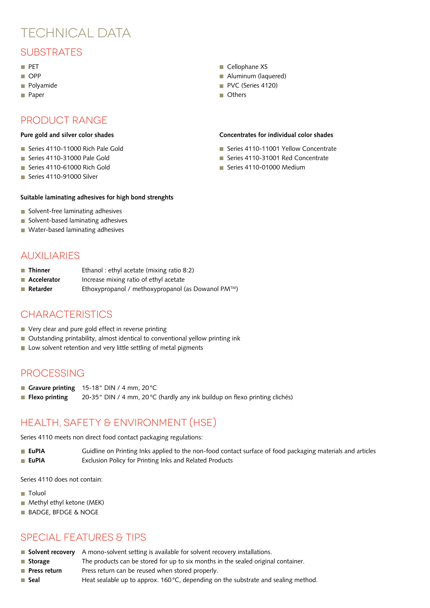## TECHNICAI DATA

## SUBSTRATES

- $\blacksquare$  PFT
- OPP
- **Polyamide**
- **Paper**

### Product Range

#### **Pure gold and silver color shades**

- Series 4110-11000 Rich Pale Gold
- Series 4110-31000 Pale Gold
- Series 4110-61000 Rich Gold
- Series 4110-91000 Silver

#### **Suitable laminating adhesives for high bond strenghts**

- Solvent-free laminating adhesives
- Solvent-based laminating adhesives
- **Water-based laminating adhesives**

#### **AUXILIARIES**

- **Thinner** Ethanol : ethyl acetate (mixing ratio 8:2)
- **Accelerator** Increase mixing ratio of ethyl acetate
- **Retarder** Ethoxypropanol / methoxypropanol (as Dowanol PM<sup>™</sup>)

### **CHARACTERISTICS**

- Very clear and pure gold effect in reverse printing
- Outstanding printability, almost identical to conventional yellow printing ink
- Low solvent retention and very little settling of metal pigments

#### **PROCESSING**

- Gravure printing 15-18" DIN / 4 mm, 20°C
- Flexo printing 20-35<sup>\*</sup> DIN / 4 mm, 20<sup>°</sup>C (hardly any ink buildup on flexo printing clichés)

## Health, Safety & Environment (HSE)

Series 4110 meets non direct food contact packaging regulations:

**EuPIA** Guidline on Printing Inks applied to the non-food contact surface of food packaging materials and articles ■ **EuPIA** Exclusion Policy for Printing Inks and Related Products

Series 4110 does not contain:

- **Toluol**
- **Methyl ethyl ketone (MEK)**
- **BADGE, BFDGE & NOGE**

## Special Features & Tips

- **Solvent recovery** A mono-solvent setting is available for solvent recovery installations.
- **Storage** The products can be stored for up to six months in the sealed original container.
- **Press return** Press return can be reused when stored properly.
- Seal **Heat sealable up to approx. 160 °C**, depending on the substrate and sealing method.
- Cellophane XS
- Aluminum (laquered)
- PVC (Series 4120)
- **n** Others

#### **Concentrates for individual color shades**

- Series 4110-11001 Yellow Concentrate
- Series 4110-31001 Red Concentrate
- Series 4110-01000 Medium